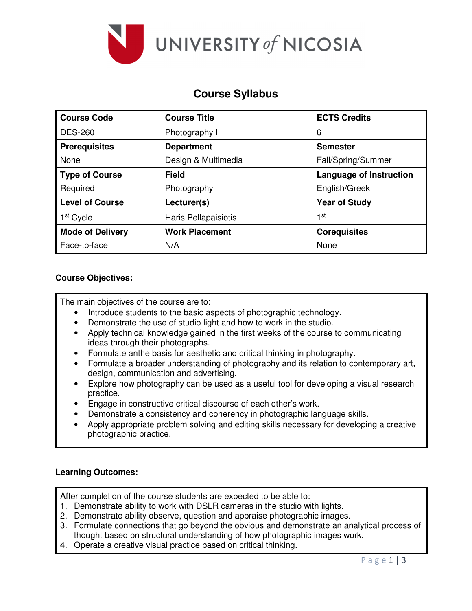

# **Course Syllabus**

| <b>Course Code</b>      | <b>Course Title</b>   | <b>ECTS Credits</b>            |  |
|-------------------------|-----------------------|--------------------------------|--|
| <b>DES-260</b>          | Photography I         | 6                              |  |
| <b>Prerequisites</b>    | <b>Department</b>     | <b>Semester</b>                |  |
| None                    | Design & Multimedia   | Fall/Spring/Summer             |  |
| <b>Type of Course</b>   | <b>Field</b>          | <b>Language of Instruction</b> |  |
| Required                | Photography           | English/Greek                  |  |
| <b>Level of Course</b>  | Lecturer(s)           | <b>Year of Study</b>           |  |
| 1 <sup>st</sup> Cycle   | Haris Pellapaisiotis  | 1st                            |  |
| <b>Mode of Delivery</b> | <b>Work Placement</b> | <b>Corequisites</b>            |  |
| Face-to-face            | N/A                   | None                           |  |

### **Course Objectives:**

The main objectives of the course are to:

- Introduce students to the basic aspects of photographic technology.
- Demonstrate the use of studio light and how to work in the studio.
- Apply technical knowledge gained in the first weeks of the course to communicating ideas through their photographs.
- Formulate anthe basis for aesthetic and critical thinking in photography.
- Formulate a broader understanding of photography and its relation to contemporary art, design, communication and advertising.
- Explore how photography can be used as a useful tool for developing a visual research practice.
- Engage in constructive critical discourse of each other's work.
- Demonstrate a consistency and coherency in photographic language skills.
- Apply appropriate problem solving and editing skills necessary for developing a creative photographic practice.

#### **Learning Outcomes:**

After completion of the course students are expected to be able to:

- 1. Demonstrate ability to work with DSLR cameras in the studio with lights.
- 2. Demonstrate ability observe, question and appraise photographic images.
- 3. Formulate connections that go beyond the obvious and demonstrate an analytical process of thought based on structural understanding of how photographic images work.
- 4. Operate a creative visual practice based on critical thinking.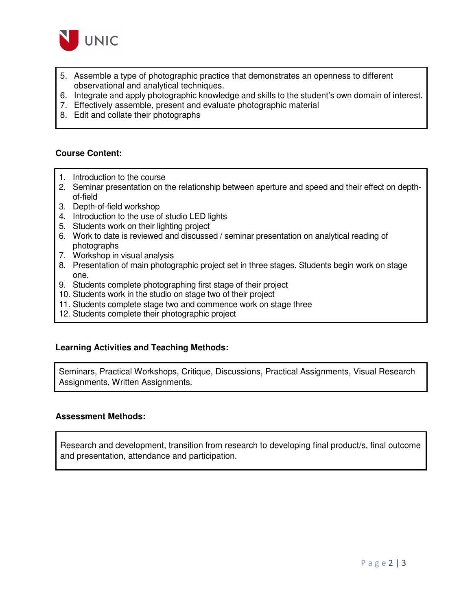

- 5. Assemble a type of photographic practice that demonstrates an openness to different observational and analytical techniques.
- 6. Integrate and apply photographic knowledge and skills to the student's own domain of interest.
- 7. Effectively assemble, present and evaluate photographic material
- 8. Edit and collate their photographs

#### **Course Content:**

- 1. Introduction to the course
- 2. Seminar presentation on the relationship between aperture and speed and their effect on depthof-field
- 3. Depth-of-field workshop
- 4. Introduction to the use of studio LED lights
- 5. Students work on their lighting project
- 6. Work to date is reviewed and discussed / seminar presentation on analytical reading of photographs
- 7. Workshop in visual analysis
- 8. Presentation of main photographic project set in three stages. Students begin work on stage one.
- 9. Students complete photographing first stage of their project
- 10. Students work in the studio on stage two of their project
- 11. Students complete stage two and commence work on stage three
- 12. Students complete their photographic project

#### **Learning Activities and Teaching Methods:**

Seminars, Practical Workshops, Critique, Discussions, Practical Assignments, Visual Research Assignments, Written Assignments.

#### **Assessment Methods:**

Research and development, transition from research to developing final product/s, final outcome and presentation, attendance and participation.